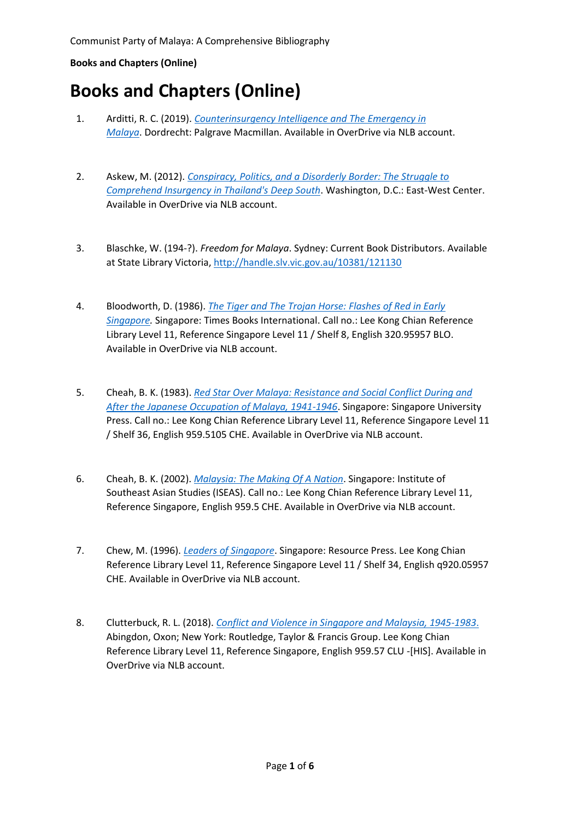## **Books and Chapters (Online)**

- 1. Arditti, R. C. (2019). *[Counterinsurgency Intelligence and The Emergency in](https://eservice.nlb.gov.sg/item_holding.aspx?bid=204405130)  [Malaya](https://eservice.nlb.gov.sg/item_holding.aspx?bid=204405130)*. Dordrecht: Palgrave Macmillan. Available in OverDrive via NLB account.
- 2. Askew, M. (2012). *[Conspiracy, Politics, and a Disorderly Border: The Struggle to](https://eservice.nlb.gov.sg/item_holding.aspx?bid=203597225)  [Comprehend Insurgency in Thailand's Deep South](https://eservice.nlb.gov.sg/item_holding.aspx?bid=203597225)*. Washington, D.C.: East-West Center. Available in OverDrive via NLB account.
- 3. Blaschke, W. (194-?). *Freedom for Malaya*. Sydney: Current Book Distributors. Available at State Library Victoria[, http://handle.slv.vic.gov.au/10381/121130](http://handle.slv.vic.gov.au/10381/121130)
- 4. Bloodworth, D. (1986). *[The Tiger and The Trojan Horse: Flashes of Red in Early](https://eservice.nlb.gov.sg/item_holding.aspx?bid=203649090)  [Singapore.](https://eservice.nlb.gov.sg/item_holding.aspx?bid=203649090)* Singapore: Times Books International. Call no.: Lee Kong Chian Reference Library Level 11, Reference Singapore Level 11 / Shelf 8, English 320.95957 BLO. Available in OverDrive via NLB account.
- 5. Cheah, B. K. (1983). *[Red Star Over Malaya: Resistance and Social Conflict During and](https://eservice.nlb.gov.sg/item_holding.aspx?bid=4082363)  [After the Japanese Occupation of Malaya, 1941-1946](https://eservice.nlb.gov.sg/item_holding.aspx?bid=4082363)*. Singapore: Singapore University Press. Call no.: Lee Kong Chian Reference Library Level 11, Reference Singapore Level 11 / Shelf 36, English 959.5105 CHE. Available in OverDrive via NLB account.
- 6. Cheah, B. K. (2002). *[Malaysia: The Making Of A Nation](https://eservice.nlb.gov.sg/item_holding.aspx?bid=205234267)*. Singapore: Institute of Southeast Asian Studies (ISEAS). Call no.: Lee Kong Chian Reference Library Level 11, Reference Singapore, English 959.5 CHE. Available in OverDrive via NLB account.
- 7. Chew, M. (1996). *[Leaders of Singapore](https://eservice.nlb.gov.sg/item_holding.aspx?bid=7647597)*. Singapore: Resource Press. Lee Kong Chian Reference Library Level 11, Reference Singapore Level 11 / Shelf 34, English q920.05957 CHE. Available in OverDrive via NLB account.
- 8. Clutterbuck, R. L. (2018). *[Conflict and Violence in Singapore and Malaysia, 1945-1983](https://eservice.nlb.gov.sg/item_holding.aspx?bid=205310954)*. Abingdon, Oxon; New York: Routledge, Taylor & Francis Group. Lee Kong Chian Reference Library Level 11, Reference Singapore, English 959.57 CLU -[HIS]. Available in OverDrive via NLB account.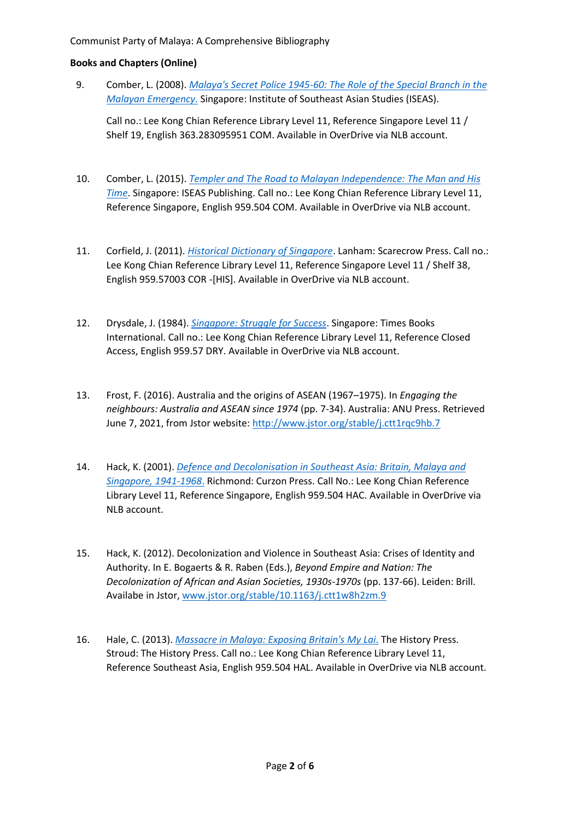## **Books and Chapters (Online)**

9. Comber, L. (2008). *[Malaya's Secret Police 1945-60: The](https://eservice.nlb.gov.sg/item_holding.aspx?bid=205234057) Role of the Special Branch in the [Malayan Emergency](https://eservice.nlb.gov.sg/item_holding.aspx?bid=205234057)*. Singapore: Institute of Southeast Asian Studies (ISEAS).

Call no.: Lee Kong Chian Reference Library Level 11, Reference Singapore Level 11 / Shelf 19, English 363.283095951 COM. Available in OverDrive via NLB account.

- 10. Comber, L. (2015). *[Templer and The Road to Malayan Independence: The Man and His](https://eservice.nlb.gov.sg/item_holding.aspx?bid=205294944)  [Time](https://eservice.nlb.gov.sg/item_holding.aspx?bid=205294944)*. Singapore: ISEAS Publishing. Call no.: Lee Kong Chian Reference Library Level 11, Reference Singapore, English 959.504 COM. Available in OverDrive via NLB account.
- 11. Corfield, J. (2011). *[Historical Dictionary of Singapore](https://eservice.nlb.gov.sg/item_holding.aspx?bid=203567664)*. Lanham: Scarecrow Press. Call no.: Lee Kong Chian Reference Library Level 11, Reference Singapore Level 11 / Shelf 38, English 959.57003 COR -[HIS]. Available in OverDrive via NLB account.
- 12. Drysdale, J. (1984). *[Singapore: Struggle for Success](https://eservice.nlb.gov.sg/item_holding.aspx?bid=203371056)*. Singapore: Times Books International. Call no.: Lee Kong Chian Reference Library Level 11, Reference Closed Access, English 959.57 DRY. Available in OverDrive via NLB account.
- 13. Frost, F. (2016). Australia and the origins of ASEAN (1967–1975). In *Engaging the neighbours: Australia and ASEAN since 1974* (pp. 7-34). Australia: ANU Press. Retrieved June 7, 2021, from Jstor website: <http://www.jstor.org/stable/j.ctt1rqc9hb.7>
- 14. Hack, K. (2001). *[Defence and Decolonisation in Southeast Asia: Britain, Malaya and](https://eservice.nlb.gov.sg/item_holding.aspx?bid=9787667)  [Singapore, 1941-1968](https://eservice.nlb.gov.sg/item_holding.aspx?bid=9787667)*. Richmond: Curzon Press. Call No.: Lee Kong Chian Reference Library Level 11, Reference Singapore, English 959.504 HAC. Available in OverDrive via NLB account.
- 15. Hack, K. (2012). Decolonization and Violence in Southeast Asia: Crises of Identity and Authority. In E. Bogaerts & R. Raben (Eds.), *Beyond Empire and Nation: The Decolonization of African and Asian Societies, 1930s-1970s* (pp. 137-66). Leiden: Brill. Availabe in Jstor, [www.jstor.org/stable/10.1163/j.ctt1w8h2zm.9](http://www.jstor.org/stable/10.1163/j.ctt1w8h2zm.9)
- 16. Hale, C. (2013). *[Massacre in Malaya: Exposing Britain's My Lai](https://eservice.nlb.gov.sg/item_holding.aspx?bid=205240341)*. The History Press. Stroud: The History Press. Call no.: Lee Kong Chian Reference Library Level 11, Reference Southeast Asia, English 959.504 HAL. Available in OverDrive via NLB account.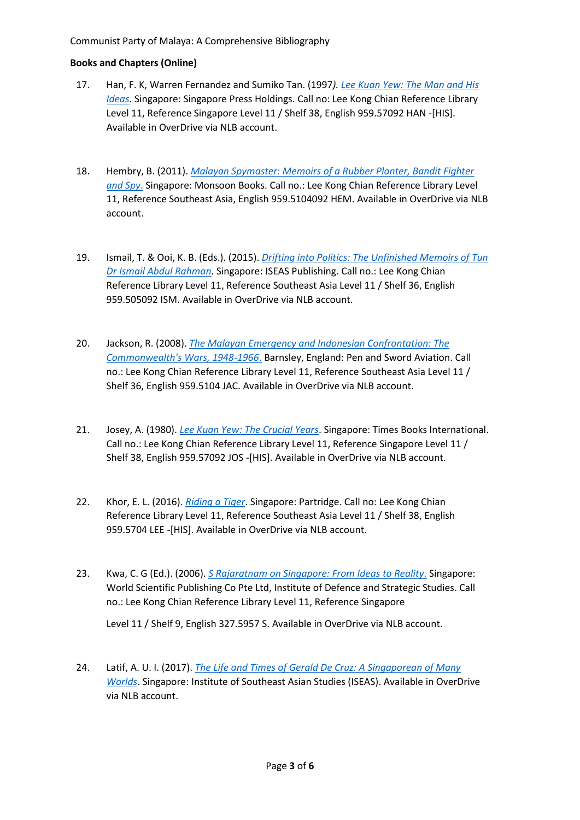## **Books and Chapters (Online)**

- 17. Han, F. K, Warren Fernandez and Sumiko Tan. (1997*). [Lee Kuan Yew: The Man and His](https://eservice.nlb.gov.sg/item_holding.aspx?bid=203407682)  [Ideas](https://eservice.nlb.gov.sg/item_holding.aspx?bid=203407682)*. Singapore: Singapore Press Holdings. Call no: Lee Kong Chian Reference Library Level 11, Reference Singapore Level 11 / Shelf 38, English 959.57092 HAN -[HIS]. Available in OverDrive via NLB account.
- 18. Hembry, B. (2011). *[Malayan Spymaster: Memoirs of a Rubber Planter, Bandit Fighter](https://eservice.nlb.gov.sg/item_holding.aspx?bid=203564484)  [and Spy](https://eservice.nlb.gov.sg/item_holding.aspx?bid=203564484)*. Singapore: Monsoon Books. Call no.: Lee Kong Chian Reference Library Level 11, Reference Southeast Asia, English 959.5104092 HEM. Available in OverDrive via NLB account.
- 19. Ismail, T. & Ooi, K. B. (Eds.). (2015). *[Drifting into Politics: The Unfinished Memoirs of Tun](https://eservice.nlb.gov.sg/item_holding.aspx?bid=205350086)  [Dr Ismail Abdul Rahman](https://eservice.nlb.gov.sg/item_holding.aspx?bid=205350086)*. Singapore: ISEAS Publishing. Call no.: Lee Kong Chian Reference Library Level 11, Reference Southeast Asia Level 11 / Shelf 36, English 959.505092 ISM. Available in OverDrive via NLB account.
- 20. Jackson, R. (2008). *[The Malayan Emergency and Indonesian Confrontation: The](https://eservice.nlb.gov.sg/item_holding.aspx?bid=203627854)  [Commonwealth's Wars, 1948-1966](https://eservice.nlb.gov.sg/item_holding.aspx?bid=203627854)*. Barnsley, England: Pen and Sword Aviation. Call no.: Lee Kong Chian Reference Library Level 11, Reference Southeast Asia Level 11 / Shelf 36, English 959.5104 JAC. Available in OverDrive via NLB account.
- 21. Josey, A. (1980). *[Lee Kuan Yew: The Crucial Years](https://eservice.nlb.gov.sg/item_holding.aspx?bid=203606549)*. Singapore: Times Books International. Call no.: Lee Kong Chian Reference Library Level 11, Reference Singapore Level 11 / Shelf 38, English 959.57092 JOS -[HIS]. Available in OverDrive via NLB account.
- 22. Khor, E. L. (2016). *[Riding a Tiger](https://eservice.nlb.gov.sg/item_holding.aspx?bid=204449712)*. Singapore: Partridge. Call no: Lee Kong Chian Reference Library Level 11, Reference Southeast Asia Level 11 / Shelf 38, English 959.5704 LEE -[HIS]. Available in OverDrive via NLB account.
- 23. Kwa, C. G (Ed.). (2006). *[S Rajaratnam on Singapore: From Ideas](https://eservice.nlb.gov.sg/item_holding.aspx?bid=204494434) to Reality*. Singapore: World Scientific Publishing Co Pte Ltd, Institute of Defence and Strategic Studies. Call no.: Lee Kong Chian Reference Library Level 11, Reference Singapore

Level 11 / Shelf 9, English 327.5957 S. Available in OverDrive via NLB account.

24. Latif, A. U. I. (2017). *[The Life and Times of Gerald De Cruz: A Singaporean of Many](https://eservice.nlb.gov.sg/item_holding.aspx?bid=204494594)  [Worlds](https://eservice.nlb.gov.sg/item_holding.aspx?bid=204494594)*. Singapore: Institute of Southeast Asian Studies (ISEAS). Available in OverDrive via NLB account.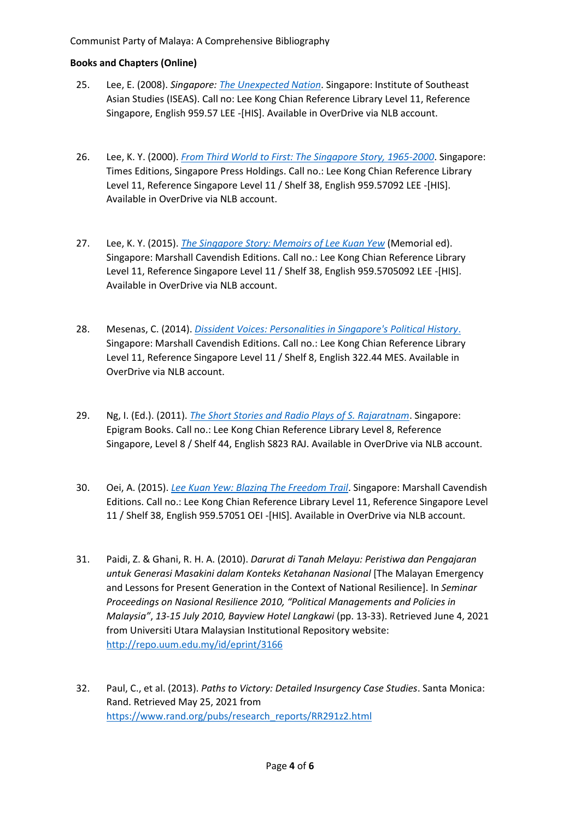- 25. Lee, E. (2008). *Singapore: [The Unexpected Nation](https://eservice.nlb.gov.sg/item_holding.aspx?bid=205234752)*. Singapore: Institute of Southeast Asian Studies (ISEAS). Call no: Lee Kong Chian Reference Library Level 11, Reference Singapore, English 959.57 LEE -[HIS]. Available in OverDrive via NLB account.
- 26. Lee, K. Y. (2000). *[From Third World to First: The Singapore Story, 1965-2000](https://eservice.nlb.gov.sg/item_holding.aspx?bid=9981172)*. Singapore: Times Editions, Singapore Press Holdings. Call no.: Lee Kong Chian Reference Library Level 11, Reference Singapore Level 11 / Shelf 38, English 959.57092 LEE -[HIS]. Available in OverDrive via NLB account.
- 27. Lee, K. Y. (2015). *[The Singapore Story: Memoirs of Lee Kuan Yew](https://eservice.nlb.gov.sg/item_holding.aspx?bid=201266968)* (Memorial ed). Singapore: Marshall Cavendish Editions. Call no.: Lee Kong Chian Reference Library Level 11, Reference Singapore Level 11 / Shelf 38, English 959.5705092 LEE -[HIS]. Available in OverDrive via NLB account.
- 28. Mesenas, C. (2014). *[Dissident Voices: Personalities in Singapore's Political History](https://eservice.nlb.gov.sg/item_holding.aspx?bid=203634502)*. Singapore: Marshall Cavendish Editions. Call no.: Lee Kong Chian Reference Library Level 11, Reference Singapore Level 11 / Shelf 8, English 322.44 MES. Available in OverDrive via NLB account.
- 29. Ng, I. (Ed.). (2011). *[The Short Stories and Radio Plays of S. Rajaratnam](https://eservice.nlb.gov.sg/item_holding.aspx?bid=203835096)*. Singapore: Epigram Books. Call no.: Lee Kong Chian Reference Library Level 8, Reference Singapore, Level 8 / Shelf 44, English S823 RAJ. Available in OverDrive via NLB account.
- 30. Oei, A. (2015). *Lee [Kuan Yew: Blazing The Freedom Trail](https://eservice.nlb.gov.sg/item_holding.aspx?bid=204494905)*. Singapore: Marshall Cavendish Editions. Call no.: Lee Kong Chian Reference Library Level 11, Reference Singapore Level 11 / Shelf 38, English 959.57051 OEI -[HIS]. Available in OverDrive via NLB account.
- 31. Paidi, Z. & Ghani, R. H. A. (2010). *Darurat di Tanah Melayu: Peristiwa dan Pengajaran untuk Generasi Masakini dalam Konteks Ketahanan Nasional* [The Malayan Emergency and Lessons for Present Generation in the Context of National Resilience]. In *Seminar Proceedings on Nasional Resilience 2010, "Political Managements and Policies in Malaysia"*, *13-15 July 2010, Bayview Hotel Langkawi* (pp. 13-33). Retrieved June 4, 2021 from Universiti Utara Malaysian Institutional Repository website: <http://repo.uum.edu.my/id/eprint/3166>
- 32. Paul, C., et al. (2013). *Paths to Victory: Detailed Insurgency Case Studies*. Santa Monica: Rand. Retrieved May 25, 2021 from [https://www.rand.org/pubs/research\\_reports/RR291z2.html](https://www.rand.org/pubs/research_reports/RR291z2.html)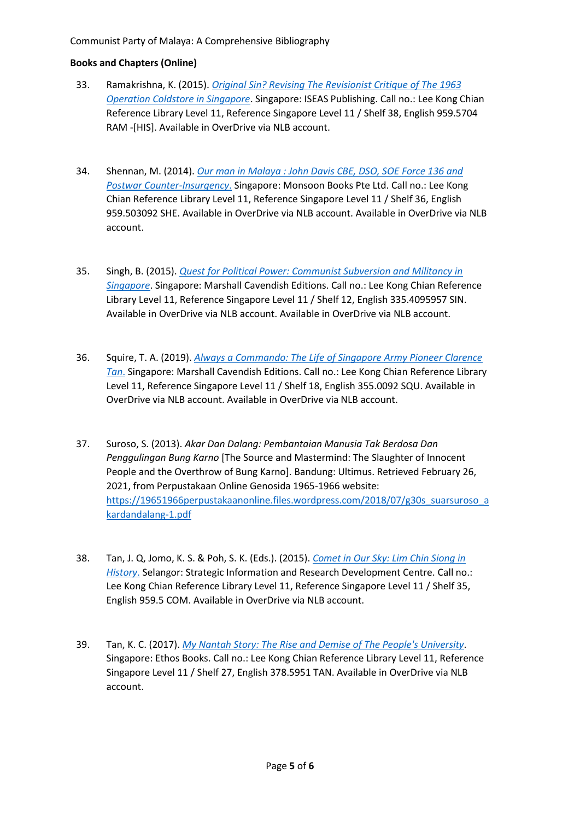- 33. Ramakrishna, K. (2015). *[Original Sin? Revising The Revisionist Critique of The 1963](https://eservice.nlb.gov.sg/item_holding.aspx?bid=205294920)  [Operation Coldstore in Singapore](https://eservice.nlb.gov.sg/item_holding.aspx?bid=205294920)*. Singapore: ISEAS Publishing. Call no.: Lee Kong Chian Reference Library Level 11, Reference Singapore Level 11 / Shelf 38, English 959.5704 RAM -[HIS]. Available in OverDrive via NLB account.
- 34. Shennan, M. (2014). *[Our man in Malaya : John Davis CBE, DSO, SOE Force 136 and](https://eservice.nlb.gov.sg/item_holding.aspx?bid=200177098)  [Postwar Counter-Insurgency](https://eservice.nlb.gov.sg/item_holding.aspx?bid=200177098)*. Singapore: Monsoon Books Pte Ltd. Call no.: Lee Kong Chian Reference Library Level 11, Reference Singapore Level 11 / Shelf 36, English 959.503092 SHE. Available in OverDrive via NLB account. Available in OverDrive via NLB account.
- 35. Singh, B. (2015). *[Quest for Political Power: Communist Subversion and Militancy in](https://eservice.nlb.gov.sg/item_holding.aspx?bid=203238698)  [Singapore](https://eservice.nlb.gov.sg/item_holding.aspx?bid=203238698)*. Singapore: Marshall Cavendish Editions. Call no.: Lee Kong Chian Reference Library Level 11, Reference Singapore Level 11 / Shelf 12, English 335.4095957 SIN. Available in OverDrive via NLB account. Available in OverDrive via NLB account.
- 36. Squire, T. A. (2019). *[Always a Commando: The Life of Singapore Army Pioneer Clarence](https://eservice.nlb.gov.sg/item_holding.aspx?bid=204400466)  [Tan](https://eservice.nlb.gov.sg/item_holding.aspx?bid=204400466)*. Singapore: Marshall Cavendish Editions. Call no.: Lee Kong Chian Reference Library Level 11, Reference Singapore Level 11 / Shelf 18, English 355.0092 SQU. Available in OverDrive via NLB account. Available in OverDrive via NLB account.
- 37. Suroso, S. (2013). *Akar Dan Dalang: Pembantaian Manusia Tak Berdosa Dan Penggulingan Bung Karno* [The Source and Mastermind: The Slaughter of Innocent People and the Overthrow of Bung Karno]. Bandung: Ultimus. Retrieved February 26, 2021, from Perpustakaan Online Genosida 1965-1966 website: [https://19651966perpustakaanonline.files.wordpress.com/2018/07/g30s\\_suarsuroso\\_a](https://19651966perpustakaanonline.files.wordpress.com/2018/07/g30s_suarsuroso_akardandalang-1.pdf) [kardandalang-1.pdf](https://19651966perpustakaanonline.files.wordpress.com/2018/07/g30s_suarsuroso_akardandalang-1.pdf)
- 38. Tan, J. Q, Jomo, K. S. & Poh, S. K. (Eds.). (2015). *[Comet in Our Sky: Lim Chin Siong in](https://eservice.nlb.gov.sg/item_holding.aspx?bid=204452158)  [History](https://eservice.nlb.gov.sg/item_holding.aspx?bid=204452158)*. Selangor: Strategic Information and Research Development Centre. Call no.: Lee Kong Chian Reference Library Level 11, Reference Singapore Level 11 / Shelf 35, English 959.5 COM. Available in OverDrive via NLB account.
- 39. Tan, K. C. (2017). *[My Nantah Story: The Rise and Demise of The People's University](https://eservice.nlb.gov.sg/item_holding.aspx?bid=202933030)*. Singapore: Ethos Books. Call no.: Lee Kong Chian Reference Library Level 11, Reference Singapore Level 11 / Shelf 27, English 378.5951 TAN. Available in OverDrive via NLB account.